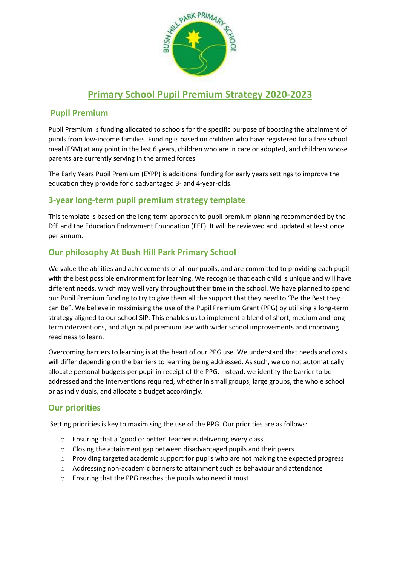

### **Primary School Pupil Premium Strategy 2020-2023**

### **Pupil Premium**

Pupil Premium is funding allocated to schools for the specific purpose of boosting the attainment of pupils from low-income families. Funding is based on children who have registered for a free school meal (FSM) at any point in the last 6 years, children who are in care or adopted, and children whose parents are currently serving in the armed forces.

The Early Years Pupil Premium (EYPP) is additional funding for early years settings to improve the education they provide for disadvantaged 3- and 4-year-olds.

### **3-year long-term pupil premium strategy template**

This template is based on the long-term approach to pupil premium planning recommended by the DfE and the Education Endowment Foundation (EEF). It will be reviewed and updated at least once per annum.

### **Our philosophy At Bush Hill Park Primary School**

We value the abilities and achievements of all our pupils, and are committed to providing each pupil with the best possible environment for learning. We recognise that each child is unique and will have different needs, which may well vary throughout their time in the school. We have planned to spend our Pupil Premium funding to try to give them all the support that they need to "Be the Best they can Be". We believe in maximising the use of the Pupil Premium Grant (PPG) by utilising a long-term strategy aligned to our school SIP. This enables us to implement a blend of short, medium and longterm interventions, and align pupil premium use with wider school improvements and improving readiness to learn.

Overcoming barriers to learning is at the heart of our PPG use. We understand that needs and costs will differ depending on the barriers to learning being addressed. As such, we do not automatically allocate personal budgets per pupil in receipt of the PPG. Instead, we identify the barrier to be addressed and the interventions required, whether in small groups, large groups, the whole school or as individuals, and allocate a budget accordingly.

### **Our priorities**

Setting priorities is key to maximising the use of the PPG. Our priorities are as follows:

- o Ensuring that a 'good or better' teacher is delivering every class
- o Closing the attainment gap between disadvantaged pupils and their peers
- o Providing targeted academic support for pupils who are not making the expected progress
- o Addressing non-academic barriers to attainment such as behaviour and attendance
- o Ensuring that the PPG reaches the pupils who need it most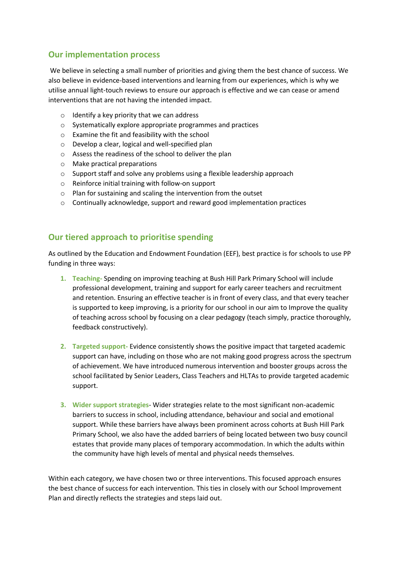### **Our implementation process**

We believe in selecting a small number of priorities and giving them the best chance of success. We also believe in evidence-based interventions and learning from our experiences, which is why we utilise annual light-touch reviews to ensure our approach is effective and we can cease or amend interventions that are not having the intended impact.

- $\circ$  Identify a key priority that we can address
- o Systematically explore appropriate programmes and practices
- o Examine the fit and feasibility with the school
- o Develop a clear, logical and well-specified plan
- o Assess the readiness of the school to deliver the plan
- o Make practical preparations
- $\circ$  Support staff and solve any problems using a flexible leadership approach
- o Reinforce initial training with follow-on support
- o Plan for sustaining and scaling the intervention from the outset
- o Continually acknowledge, support and reward good implementation practices

#### **Our tiered approach to prioritise spending**

As outlined by the Education and Endowment Foundation (EEF), best practice is for schools to use PP funding in three ways:

- **1. Teaching-** Spending on improving teaching at Bush Hill Park Primary School will include professional development, training and support for early career teachers and recruitment and retention. Ensuring an effective teacher is in front of every class, and that every teacher is supported to keep improving, is a priority for our school in our aim to Improve the quality of teaching across school by focusing on a clear pedagogy (teach simply, practice thoroughly, feedback constructively).
- **2. Targeted support-** Evidence consistently shows the positive impact that targeted academic support can have, including on those who are not making good progress across the spectrum of achievement. We have introduced numerous intervention and booster groups across the school facilitated by Senior Leaders, Class Teachers and HLTAs to provide targeted academic support.
- **3. Wider support strategies** Wider strategies relate to the most significant non-academic barriers to success in school, including attendance, behaviour and social and emotional support. While these barriers have always been prominent across cohorts at Bush Hill Park Primary School, we also have the added barriers of being located between two busy council estates that provide many places of temporary accommodation. In which the adults within the community have high levels of mental and physical needs themselves.

Within each category, we have chosen two or three interventions. This focused approach ensures the best chance of success for each intervention. This ties in closely with our School Improvement Plan and directly reflects the strategies and steps laid out.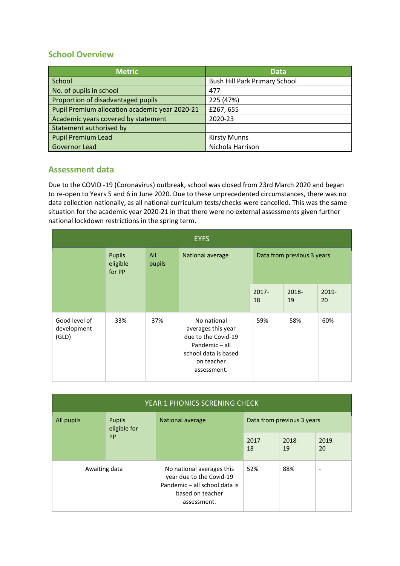### **School Overview**

| <b>Metric</b>                                  | <b>Data</b>                          |
|------------------------------------------------|--------------------------------------|
| School                                         | <b>Bush Hill Park Primary School</b> |
| No. of pupils in school                        | 477                                  |
| Proportion of disadvantaged pupils             | 225 (47%)                            |
| Pupil Premium allocation academic year 2020-21 | £267,655                             |
| Academic years covered by statement            | 2020-23                              |
| Statement authorised by                        |                                      |
| <b>Pupil Premium Lead</b>                      | <b>Kirsty Munns</b>                  |
| Governor Lead                                  | Nichola Harrison                     |

### **Assessment data**

Due to the COVID -19 (Coronavirus) outbreak, school was closed from 23rd March 2020 and began to re-open to Years 5 and 6 in June 2020. Due to these unprecedented circumstances, there was no data collection nationally, as all national curriculum tests/checks were cancelled. This was the same situation for the academic year 2020-21 in that there were no external assessments given further national lockdown restrictions in the spring term.

| <b>EYFS</b>                           |                              |               |                                                                                                                                 |                            |             |             |
|---------------------------------------|------------------------------|---------------|---------------------------------------------------------------------------------------------------------------------------------|----------------------------|-------------|-------------|
|                                       | Pupils<br>eligible<br>for PP | All<br>pupils | National average                                                                                                                | Data from previous 3 years |             |             |
|                                       |                              |               |                                                                                                                                 | $2017 -$<br>18             | 2018-<br>19 | 2019-<br>20 |
| Good level of<br>development<br>(GLD) | 33%                          | 37%           | No national<br>averages this year<br>due to the Covid-19<br>Pandemic - all<br>school data is based<br>on teacher<br>assessment. | 59%                        | 58%         | 60%         |

| YEAR 1 PHONICS SCRENING CHECK                            |  |                                                                                                                           |                            |                |   |  |
|----------------------------------------------------------|--|---------------------------------------------------------------------------------------------------------------------------|----------------------------|----------------|---|--|
| All pupils<br><b>Pupils</b><br>eligible for<br><b>PP</b> |  | National average                                                                                                          | Data from previous 3 years |                |   |  |
|                                                          |  | $2017 -$<br>18                                                                                                            | 2018-<br>19                | $2019 -$<br>20 |   |  |
| Awaiting data                                            |  | No national averages this<br>year due to the Covid-19<br>Pandemic - all school data is<br>based on teacher<br>assessment. | 52%                        | 88%            | - |  |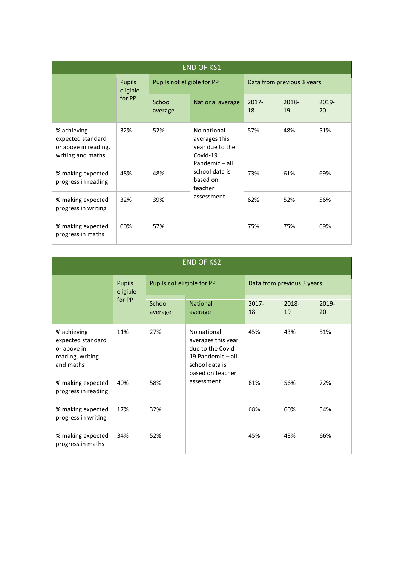| <b>END OF KS1</b>                                                             |          |                            |                                                                                                                                       |                            |             |             |
|-------------------------------------------------------------------------------|----------|----------------------------|---------------------------------------------------------------------------------------------------------------------------------------|----------------------------|-------------|-------------|
| <b>Pupils</b><br>for PP                                                       | eligible | Pupils not eligible for PP |                                                                                                                                       | Data from previous 3 years |             |             |
|                                                                               |          | School<br>average          | National average                                                                                                                      | $2017 -$<br>18             | 2018-<br>19 | 2019-<br>20 |
| % achieving<br>expected standard<br>or above in reading,<br>writing and maths | 32%      | 52%                        | No national<br>averages this<br>year due to the<br>Covid-19<br>Pandemic - all<br>school data is<br>based on<br>teacher<br>assessment. | 57%                        | 48%         | 51%         |
| % making expected<br>progress in reading                                      | 48%      | 48%                        |                                                                                                                                       | 73%                        | 61%         | 69%         |
| % making expected<br>progress in writing                                      | 32%      | 39%                        |                                                                                                                                       | 62%                        | 52%         | 56%         |
| % making expected<br>progress in maths                                        | 60%      | 57%                        |                                                                                                                                       | 75%                        | 75%         | 69%         |

| <b>END OF KS2</b>                                                                |                   |                            |                                                                                                                   |                            |             |     |
|----------------------------------------------------------------------------------|-------------------|----------------------------|-------------------------------------------------------------------------------------------------------------------|----------------------------|-------------|-----|
| <b>Pupils</b><br>eligible<br>for PP                                              |                   | Pupils not eligible for PP |                                                                                                                   | Data from previous 3 years |             |     |
|                                                                                  | School<br>average | <b>National</b><br>average | $2017 -$<br>18                                                                                                    | 2018-<br>19                | 2019-<br>20 |     |
| % achieving<br>expected standard<br>or above in<br>reading, writing<br>and maths | 11%               | 27%                        | No national<br>averages this year<br>due to the Covid-<br>19 Pandemic - all<br>school data is<br>based on teacher | 45%                        | 43%         | 51% |
| % making expected<br>progress in reading                                         | 40%               | 58%                        | assessment.                                                                                                       | 61%                        | 56%         | 72% |
| % making expected<br>progress in writing                                         | 17%               | 32%                        |                                                                                                                   | 68%                        | 60%         | 54% |
| % making expected<br>progress in maths                                           | 34%               | 52%                        |                                                                                                                   | 45%                        | 43%         | 66% |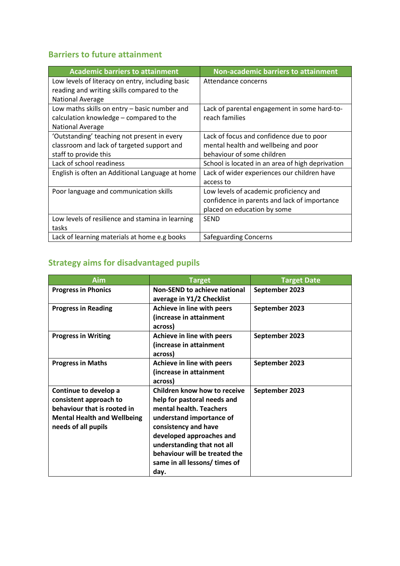### **Barriers to future attainment**

| <b>Academic barriers to attainment</b>           | <b>Non-academic barriers to attainment</b>       |
|--------------------------------------------------|--------------------------------------------------|
| Low levels of literacy on entry, including basic | Attendance concerns                              |
| reading and writing skills compared to the       |                                                  |
| <b>National Average</b>                          |                                                  |
| Low maths skills on entry – basic number and     | Lack of parental engagement in some hard-to-     |
| calculation knowledge - compared to the          | reach families                                   |
| <b>National Average</b>                          |                                                  |
| 'Outstanding' teaching not present in every      | Lack of focus and confidence due to poor         |
| classroom and lack of targeted support and       | mental health and wellbeing and poor             |
| staff to provide this                            | behaviour of some children                       |
| Lack of school readiness                         | School is located in an area of high deprivation |
| English is often an Additional Language at home  | Lack of wider experiences our children have      |
|                                                  | access to                                        |
| Poor language and communication skills           | Low levels of academic proficiency and           |
|                                                  | confidence in parents and lack of importance     |
|                                                  | placed on education by some                      |
| Low levels of resilience and stamina in learning | <b>SEND</b>                                      |
| tasks                                            |                                                  |
| Lack of learning materials at home e.g books     | <b>Safeguarding Concerns</b>                     |

# **Strategy aims for disadvantaged pupils**

| Aim                                                                                                                                         | <b>Target</b>                                                                                                                                                                                                                                                                  | <b>Target Date</b> |
|---------------------------------------------------------------------------------------------------------------------------------------------|--------------------------------------------------------------------------------------------------------------------------------------------------------------------------------------------------------------------------------------------------------------------------------|--------------------|
| <b>Progress in Phonics</b>                                                                                                                  | <b>Non-SEND to achieve national</b><br>average in Y1/2 Checklist                                                                                                                                                                                                               | September 2023     |
| <b>Progress in Reading</b>                                                                                                                  | Achieve in line with peers<br>(increase in attainment<br>across)                                                                                                                                                                                                               | September 2023     |
| <b>Progress in Writing</b>                                                                                                                  | Achieve in line with peers<br>(increase in attainment<br>across)                                                                                                                                                                                                               | September 2023     |
| <b>Progress in Maths</b>                                                                                                                    | Achieve in line with peers<br>(increase in attainment<br>across)                                                                                                                                                                                                               | September 2023     |
| Continue to develop a<br>consistent approach to<br>behaviour that is rooted in<br><b>Mental Health and Wellbeing</b><br>needs of all pupils | Children know how to receive<br>help for pastoral needs and<br>mental health. Teachers<br>understand importance of<br>consistency and have<br>developed approaches and<br>understanding that not all<br>behaviour will be treated the<br>same in all lessons/ times of<br>day. | September 2023     |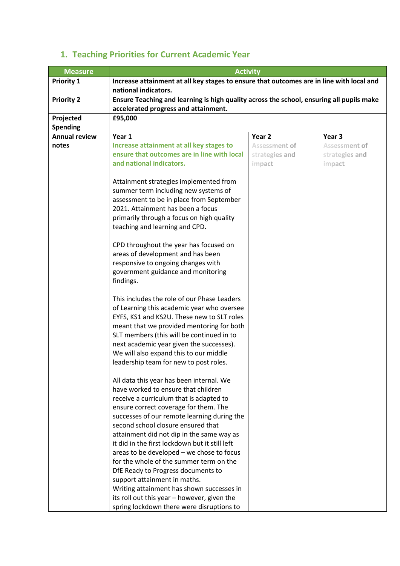| <b>Measure</b>       |                                                                                          | <b>Activity</b> |                |  |  |  |  |
|----------------------|------------------------------------------------------------------------------------------|-----------------|----------------|--|--|--|--|
| <b>Priority 1</b>    | Increase attainment at all key stages to ensure that outcomes are in line with local and |                 |                |  |  |  |  |
|                      | national indicators.                                                                     |                 |                |  |  |  |  |
| <b>Priority 2</b>    | Ensure Teaching and learning is high quality across the school, ensuring all pupils make |                 |                |  |  |  |  |
|                      | accelerated progress and attainment.                                                     |                 |                |  |  |  |  |
| Projected            | £95,000                                                                                  |                 |                |  |  |  |  |
| <b>Spending</b>      |                                                                                          |                 |                |  |  |  |  |
| <b>Annual review</b> | Year 1                                                                                   | Year 2          | Year 3         |  |  |  |  |
| notes                | Increase attainment at all key stages to                                                 | Assessment of   | Assessment of  |  |  |  |  |
|                      | ensure that outcomes are in line with local                                              | strategies and  | strategies and |  |  |  |  |
|                      | and national indicators.                                                                 | impact          | impact         |  |  |  |  |
|                      |                                                                                          |                 |                |  |  |  |  |
|                      | Attainment strategies implemented from                                                   |                 |                |  |  |  |  |
|                      | summer term including new systems of                                                     |                 |                |  |  |  |  |
|                      | assessment to be in place from September                                                 |                 |                |  |  |  |  |
|                      | 2021. Attainment has been a focus                                                        |                 |                |  |  |  |  |
|                      | primarily through a focus on high quality                                                |                 |                |  |  |  |  |
|                      | teaching and learning and CPD.                                                           |                 |                |  |  |  |  |
|                      |                                                                                          |                 |                |  |  |  |  |
|                      | CPD throughout the year has focused on                                                   |                 |                |  |  |  |  |
|                      | areas of development and has been                                                        |                 |                |  |  |  |  |
|                      | responsive to ongoing changes with                                                       |                 |                |  |  |  |  |
|                      | government guidance and monitoring                                                       |                 |                |  |  |  |  |
|                      | findings.                                                                                |                 |                |  |  |  |  |
|                      |                                                                                          |                 |                |  |  |  |  |
|                      | This includes the role of our Phase Leaders                                              |                 |                |  |  |  |  |
|                      | of Learning this academic year who oversee                                               |                 |                |  |  |  |  |
|                      | EYFS, KS1 and KS2U. These new to SLT roles                                               |                 |                |  |  |  |  |
|                      | meant that we provided mentoring for both                                                |                 |                |  |  |  |  |
|                      | SLT members (this will be continued in to                                                |                 |                |  |  |  |  |
|                      | next academic year given the successes).                                                 |                 |                |  |  |  |  |
|                      | We will also expand this to our middle                                                   |                 |                |  |  |  |  |
|                      | leadership team for new to post roles.                                                   |                 |                |  |  |  |  |
|                      |                                                                                          |                 |                |  |  |  |  |
|                      | All data this year has been internal. We                                                 |                 |                |  |  |  |  |
|                      | have worked to ensure that children                                                      |                 |                |  |  |  |  |
|                      | receive a curriculum that is adapted to                                                  |                 |                |  |  |  |  |
|                      | ensure correct coverage for them. The                                                    |                 |                |  |  |  |  |
|                      | successes of our remote learning during the                                              |                 |                |  |  |  |  |
|                      | second school closure ensured that                                                       |                 |                |  |  |  |  |
|                      | attainment did not dip in the same way as                                                |                 |                |  |  |  |  |
|                      | it did in the first lockdown but it still left                                           |                 |                |  |  |  |  |
|                      | areas to be developed - we chose to focus                                                |                 |                |  |  |  |  |
|                      | for the whole of the summer term on the                                                  |                 |                |  |  |  |  |
|                      | DfE Ready to Progress documents to                                                       |                 |                |  |  |  |  |
|                      | support attainment in maths.                                                             |                 |                |  |  |  |  |
|                      | Writing attainment has shown successes in                                                |                 |                |  |  |  |  |
|                      | its roll out this year - however, given the                                              |                 |                |  |  |  |  |
|                      | spring lockdown there were disruptions to                                                |                 |                |  |  |  |  |

# **1. Teaching Priorities for Current Academic Year**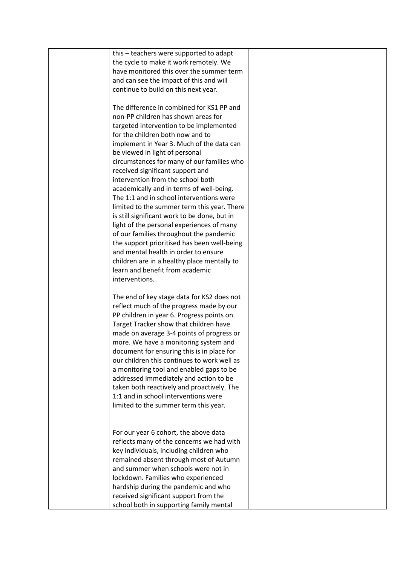| this – teachers were supported to adapt      |  |
|----------------------------------------------|--|
| the cycle to make it work remotely. We       |  |
| have monitored this over the summer term     |  |
| and can see the impact of this and will      |  |
| continue to build on this next year.         |  |
|                                              |  |
| The difference in combined for KS1 PP and    |  |
| non-PP children has shown areas for          |  |
| targeted intervention to be implemented      |  |
| for the children both now and to             |  |
| implement in Year 3. Much of the data can    |  |
| be viewed in light of personal               |  |
| circumstances for many of our families who   |  |
| received significant support and             |  |
| intervention from the school both            |  |
| academically and in terms of well-being.     |  |
| The 1:1 and in school interventions were     |  |
| limited to the summer term this year. There  |  |
| is still significant work to be done, but in |  |
| light of the personal experiences of many    |  |
| of our families throughout the pandemic      |  |
| the support prioritised has been well-being  |  |
| and mental health in order to ensure         |  |
| children are in a healthy place mentally to  |  |
| learn and benefit from academic              |  |
| interventions.                               |  |
|                                              |  |
| The end of key stage data for KS2 does not   |  |
| reflect much of the progress made by our     |  |
| PP children in year 6. Progress points on    |  |
| Target Tracker show that children have       |  |
| made on average 3-4 points of progress or    |  |
| more. We have a monitoring system and        |  |
| document for ensuring this is in place for   |  |
| our children this continues to work well as  |  |
| a monitoring tool and enabled gaps to be     |  |
| addressed immediately and action to be       |  |
| taken both reactively and proactively. The   |  |
| 1:1 and in school interventions were         |  |
| limited to the summer term this year.        |  |
|                                              |  |
|                                              |  |
| For our year 6 cohort, the above data        |  |
| reflects many of the concerns we had with    |  |
| key individuals, including children who      |  |
| remained absent through most of Autumn       |  |
| and summer when schools were not in          |  |
| lockdown. Families who experienced           |  |
| hardship during the pandemic and who         |  |
| received significant support from the        |  |
| school both in supporting family mental      |  |
|                                              |  |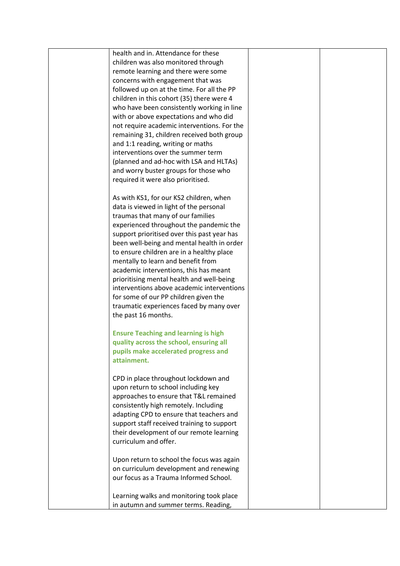| health and in. Attendance for these<br>children was also monitored through                |  |
|-------------------------------------------------------------------------------------------|--|
| remote learning and there were some                                                       |  |
| concerns with engagement that was                                                         |  |
| followed up on at the time. For all the PP                                                |  |
| children in this cohort (35) there were 4                                                 |  |
| who have been consistently working in line<br>with or above expectations and who did      |  |
| not require academic interventions. For the                                               |  |
| remaining 31, children received both group                                                |  |
| and 1:1 reading, writing or maths                                                         |  |
| interventions over the summer term                                                        |  |
| (planned and ad-hoc with LSA and HLTAs)                                                   |  |
| and worry buster groups for those who                                                     |  |
| required it were also prioritised.                                                        |  |
| As with KS1, for our KS2 children, when                                                   |  |
| data is viewed in light of the personal                                                   |  |
| traumas that many of our families                                                         |  |
| experienced throughout the pandemic the                                                   |  |
| support prioritised over this past year has<br>been well-being and mental health in order |  |
| to ensure children are in a healthy place                                                 |  |
| mentally to learn and benefit from                                                        |  |
| academic interventions, this has meant                                                    |  |
| prioritising mental health and well-being                                                 |  |
| interventions above academic interventions                                                |  |
| for some of our PP children given the                                                     |  |
| traumatic experiences faced by many over                                                  |  |
| the past 16 months.                                                                       |  |
| <b>Ensure Teaching and learning is high</b>                                               |  |
| quality across the school, ensuring all                                                   |  |
| pupils make accelerated progress and                                                      |  |
| attainment.                                                                               |  |
| CPD in place throughout lockdown and                                                      |  |
| upon return to school including key                                                       |  |
| approaches to ensure that T&L remained                                                    |  |
| consistently high remotely. Including                                                     |  |
| adapting CPD to ensure that teachers and                                                  |  |
| support staff received training to support                                                |  |
| their development of our remote learning<br>curriculum and offer.                         |  |
|                                                                                           |  |
| Upon return to school the focus was again                                                 |  |
| on curriculum development and renewing                                                    |  |
| our focus as a Trauma Informed School.                                                    |  |
| Learning walks and monitoring took place                                                  |  |
| in autumn and summer terms. Reading,                                                      |  |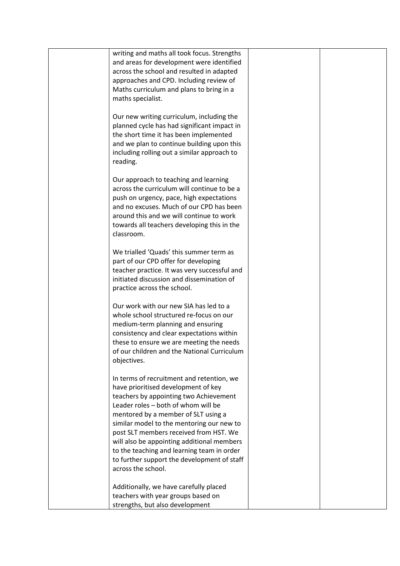| writing and maths all took focus. Strengths<br>and areas for development were identified<br>across the school and resulted in adapted<br>approaches and CPD. Including review of<br>Maths curriculum and plans to bring in a<br>maths specialist.                                                                                                                                                                                                                |  |
|------------------------------------------------------------------------------------------------------------------------------------------------------------------------------------------------------------------------------------------------------------------------------------------------------------------------------------------------------------------------------------------------------------------------------------------------------------------|--|
| Our new writing curriculum, including the<br>planned cycle has had significant impact in<br>the short time it has been implemented<br>and we plan to continue building upon this<br>including rolling out a similar approach to<br>reading.                                                                                                                                                                                                                      |  |
| Our approach to teaching and learning<br>across the curriculum will continue to be a<br>push on urgency, pace, high expectations<br>and no excuses. Much of our CPD has been<br>around this and we will continue to work<br>towards all teachers developing this in the<br>classroom.                                                                                                                                                                            |  |
| We trialled 'Quads' this summer term as<br>part of our CPD offer for developing<br>teacher practice. It was very successful and<br>initiated discussion and dissemination of<br>practice across the school.                                                                                                                                                                                                                                                      |  |
| Our work with our new SIA has led to a<br>whole school structured re-focus on our<br>medium-term planning and ensuring<br>consistency and clear expectations within<br>these to ensure we are meeting the needs<br>of our children and the National Curriculum<br>objectives.                                                                                                                                                                                    |  |
| In terms of recruitment and retention, we<br>have prioritised development of key<br>teachers by appointing two Achievement<br>Leader roles - both of whom will be<br>mentored by a member of SLT using a<br>similar model to the mentoring our new to<br>post SLT members received from HST. We<br>will also be appointing additional members<br>to the teaching and learning team in order<br>to further support the development of staff<br>across the school. |  |
| Additionally, we have carefully placed<br>teachers with year groups based on<br>strengths, but also development                                                                                                                                                                                                                                                                                                                                                  |  |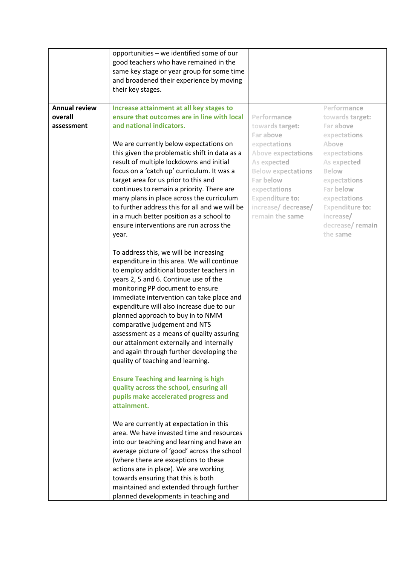|                                               | opportunities - we identified some of our<br>good teachers who have remained in the<br>same key stage or year group for some time<br>and broadened their experience by moving<br>their key stages.                                                                                                                                                                                                                                                                                                                                                                                                     |                                                                                                                                                                                                                                       |                                                                                                                                                                                                                                 |
|-----------------------------------------------|--------------------------------------------------------------------------------------------------------------------------------------------------------------------------------------------------------------------------------------------------------------------------------------------------------------------------------------------------------------------------------------------------------------------------------------------------------------------------------------------------------------------------------------------------------------------------------------------------------|---------------------------------------------------------------------------------------------------------------------------------------------------------------------------------------------------------------------------------------|---------------------------------------------------------------------------------------------------------------------------------------------------------------------------------------------------------------------------------|
| <b>Annual review</b><br>overall<br>assessment | Increase attainment at all key stages to<br>ensure that outcomes are in line with local<br>and national indicators.<br>We are currently below expectations on<br>this given the problematic shift in data as a<br>result of multiple lockdowns and initial<br>focus on a 'catch up' curriculum. It was a<br>target area for us prior to this and<br>continues to remain a priority. There are<br>many plans in place across the curriculum<br>to further address this for all and we will be<br>in a much better position as a school to<br>ensure interventions are run across the<br>year.           | Performance<br>towards target:<br>Far above<br>expectations<br><b>Above expectations</b><br>As expected<br><b>Below expectations</b><br>Far below<br>expectations<br><b>Expenditure to:</b><br>increase/ decrease/<br>remain the same | Performance<br>towards target:<br>Far above<br>expectations<br>Above<br>expectations<br>As expected<br>Below<br>expectations<br>Far below<br>expectations<br><b>Expenditure to:</b><br>increase/<br>decrease/remain<br>the same |
|                                               | To address this, we will be increasing<br>expenditure in this area. We will continue<br>to employ additional booster teachers in<br>years 2, 5 and 6. Continue use of the<br>monitoring PP document to ensure<br>immediate intervention can take place and<br>expenditure will also increase due to our<br>planned approach to buy in to NMM<br>comparative judgement and NTS<br>assessment as a means of quality assuring<br>our attainment externally and internally<br>and again through further developing the<br>quality of teaching and learning.<br><b>Ensure Teaching and learning is high</b> |                                                                                                                                                                                                                                       |                                                                                                                                                                                                                                 |
|                                               | quality across the school, ensuring all<br>pupils make accelerated progress and<br>attainment.<br>We are currently at expectation in this<br>area. We have invested time and resources<br>into our teaching and learning and have an<br>average picture of 'good' across the school<br>(where there are exceptions to these<br>actions are in place). We are working<br>towards ensuring that this is both<br>maintained and extended through further<br>planned developments in teaching and                                                                                                          |                                                                                                                                                                                                                                       |                                                                                                                                                                                                                                 |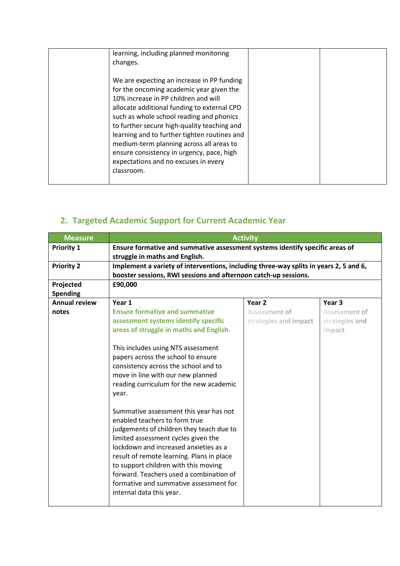| learning, including planned monitoring<br>changes.                                                                                                                                                                                                                                                                                                                                                                                                                      |  |
|-------------------------------------------------------------------------------------------------------------------------------------------------------------------------------------------------------------------------------------------------------------------------------------------------------------------------------------------------------------------------------------------------------------------------------------------------------------------------|--|
| We are expecting an increase in PP funding<br>for the oncoming academic year given the<br>10% increase in PP children and will<br>allocate additional funding to external CPD<br>such as whole school reading and phonics<br>to further secure high-quality teaching and<br>learning and to further tighten routines and<br>medium-term planning across all areas to<br>ensure consistency in urgency, pace, high<br>expectations and no excuses in every<br>classroom. |  |
|                                                                                                                                                                                                                                                                                                                                                                                                                                                                         |  |

# **2. Targeted Academic Support for Current Academic Year**

| <b>Measure</b>       | <b>Activity</b>                                                                       |                       |                |
|----------------------|---------------------------------------------------------------------------------------|-----------------------|----------------|
| <b>Priority 1</b>    | Ensure formative and summative assessment systems identify specific areas of          |                       |                |
|                      | struggle in maths and English.                                                        |                       |                |
| <b>Priority 2</b>    | Implement a variety of interventions, including three-way splits in years 2, 5 and 6, |                       |                |
|                      | booster sessions, RWI sessions and afternoon catch-up sessions.                       |                       |                |
| Projected            | £90,000                                                                               |                       |                |
| <b>Spending</b>      |                                                                                       |                       |                |
| <b>Annual review</b> | Year 1                                                                                | Year 2                | Year 3         |
| notes                | <b>Ensure formative and summative</b>                                                 | <b>Assessment of</b>  | Assessment of  |
|                      | assessment systems identify specific                                                  | strategies and impact | strategies and |
|                      | areas of struggle in maths and English.                                               |                       | impact         |
|                      |                                                                                       |                       |                |
|                      | This includes using NTS assessment                                                    |                       |                |
|                      | papers across the school to ensure                                                    |                       |                |
|                      | consistency across the school and to                                                  |                       |                |
|                      | move in line with our new planned                                                     |                       |                |
|                      | reading curriculum for the new academic                                               |                       |                |
|                      | year.                                                                                 |                       |                |
|                      |                                                                                       |                       |                |
|                      | Summative assessment this year has not                                                |                       |                |
|                      | enabled teachers to form true                                                         |                       |                |
|                      | judgements of children they teach due to                                              |                       |                |
|                      | limited assessment cycles given the                                                   |                       |                |
|                      | lockdown and increased anxieties as a                                                 |                       |                |
|                      | result of remote learning. Plans in place                                             |                       |                |
|                      | to support children with this moving                                                  |                       |                |
|                      | forward. Teachers used a combination of                                               |                       |                |
|                      | formative and summative assessment for                                                |                       |                |
|                      | internal data this year.                                                              |                       |                |
|                      |                                                                                       |                       |                |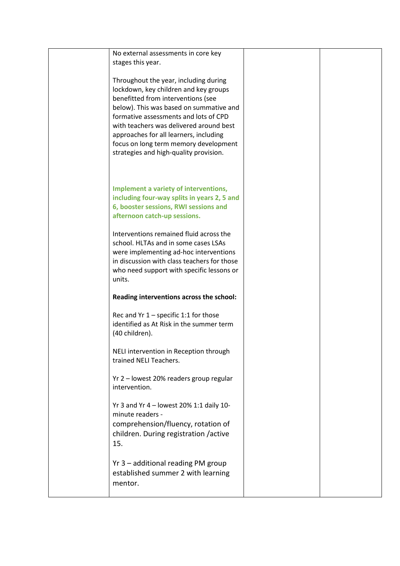| No external assessments in core key<br>stages this year.                                                                                                                                                                                                                                                                                                                         |  |
|----------------------------------------------------------------------------------------------------------------------------------------------------------------------------------------------------------------------------------------------------------------------------------------------------------------------------------------------------------------------------------|--|
| Throughout the year, including during<br>lockdown, key children and key groups<br>benefitted from interventions (see<br>below). This was based on summative and<br>formative assessments and lots of CPD<br>with teachers was delivered around best<br>approaches for all learners, including<br>focus on long term memory development<br>strategies and high-quality provision. |  |
| Implement a variety of interventions,<br>including four-way splits in years 2, 5 and<br>6, booster sessions, RWI sessions and<br>afternoon catch-up sessions.                                                                                                                                                                                                                    |  |
| Interventions remained fluid across the<br>school. HLTAs and in some cases LSAs<br>were implementing ad-hoc interventions<br>in discussion with class teachers for those<br>who need support with specific lessons or<br>units.                                                                                                                                                  |  |
| Reading interventions across the school:                                                                                                                                                                                                                                                                                                                                         |  |
| Rec and $Yr 1$ – specific 1:1 for those<br>identified as At Risk in the summer term<br>(40 children).                                                                                                                                                                                                                                                                            |  |
| NELI intervention in Reception through<br>trained NELI Teachers.                                                                                                                                                                                                                                                                                                                 |  |
| Yr 2 - lowest 20% readers group regular<br>intervention.                                                                                                                                                                                                                                                                                                                         |  |
| Yr 3 and Yr 4 - lowest 20% 1:1 daily 10-<br>minute readers -<br>comprehension/fluency, rotation of<br>children. During registration /active<br>15.                                                                                                                                                                                                                               |  |
| Yr 3 - additional reading PM group<br>established summer 2 with learning<br>mentor.                                                                                                                                                                                                                                                                                              |  |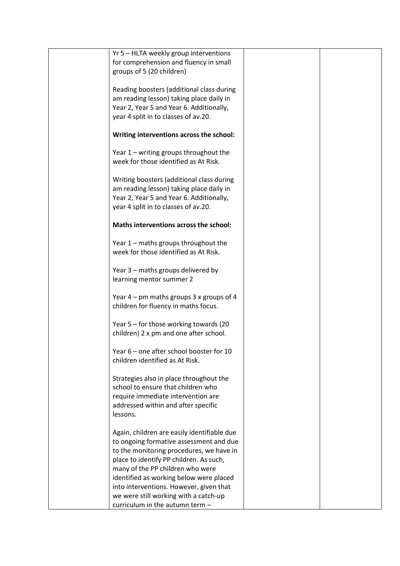| Yr 5 - HLTA weekly group interventions      |  |
|---------------------------------------------|--|
|                                             |  |
| for comprehension and fluency in small      |  |
| groups of 5 (20 children)                   |  |
|                                             |  |
| Reading boosters (additional class during   |  |
| am reading lesson) taking place daily in    |  |
| Year 2, Year 5 and Year 6. Additionally,    |  |
| year 4 split in to classes of av.20.        |  |
|                                             |  |
| Writing interventions across the school:    |  |
|                                             |  |
| Year $1$ – writing groups throughout the    |  |
| week for those identified as At Risk.       |  |
|                                             |  |
|                                             |  |
| Writing boosters (additional class during   |  |
| am reading lesson) taking place daily in    |  |
| Year 2, Year 5 and Year 6. Additionally,    |  |
| year 4 split in to classes of av.20.        |  |
|                                             |  |
| Maths interventions across the school:      |  |
|                                             |  |
| Year 1 - maths groups throughout the        |  |
| week for those identified as At Risk.       |  |
|                                             |  |
| Year 3 - maths groups delivered by          |  |
|                                             |  |
| learning mentor summer 2                    |  |
|                                             |  |
| Year $4$ – pm maths groups 3 x groups of 4  |  |
| children for fluency in maths focus.        |  |
|                                             |  |
| Year 5 – for those working towards (20      |  |
| children) 2 x pm and one after school.      |  |
|                                             |  |
| Year 6 – one after school booster for 10    |  |
| children identified as At Risk.             |  |
|                                             |  |
| Strategies also in place throughout the     |  |
| school to ensure that children who          |  |
|                                             |  |
| require immediate intervention are          |  |
| addressed within and after specific         |  |
| lessons.                                    |  |
|                                             |  |
| Again, children are easily identifiable due |  |
| to ongoing formative assessment and due     |  |
| to the monitoring procedures, we have in    |  |
| place to identify PP children. As such,     |  |
| many of the PP children who were            |  |
| identified as working below were placed     |  |
| into interventions. However, given that     |  |
| we were still working with a catch-up       |  |
|                                             |  |
| curriculum in the autumn term -             |  |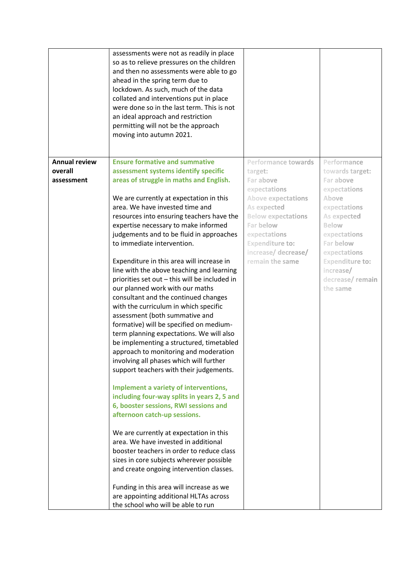|                      | assessments were not as readily in place<br>so as to relieve pressures on the children<br>and then no assessments were able to go<br>ahead in the spring term due to<br>lockdown. As such, much of the data<br>collated and interventions put in place<br>were done so in the last term. This is not<br>an ideal approach and restriction<br>permitting will not be the approach<br>moving into autumn 2021. |                                        |                                        |
|----------------------|--------------------------------------------------------------------------------------------------------------------------------------------------------------------------------------------------------------------------------------------------------------------------------------------------------------------------------------------------------------------------------------------------------------|----------------------------------------|----------------------------------------|
| <b>Annual review</b> | <b>Ensure formative and summative</b>                                                                                                                                                                                                                                                                                                                                                                        | <b>Performance towards</b>             | Performance                            |
| overall              | assessment systems identify specific                                                                                                                                                                                                                                                                                                                                                                         | target:                                | towards target:                        |
| assessment           | areas of struggle in maths and English.                                                                                                                                                                                                                                                                                                                                                                      | Far above                              | Far above                              |
|                      |                                                                                                                                                                                                                                                                                                                                                                                                              | expectations                           | expectations                           |
|                      | We are currently at expectation in this                                                                                                                                                                                                                                                                                                                                                                      | <b>Above expectations</b>              | Above                                  |
|                      | area. We have invested time and                                                                                                                                                                                                                                                                                                                                                                              | As expected                            | expectations                           |
|                      | resources into ensuring teachers have the                                                                                                                                                                                                                                                                                                                                                                    | <b>Below expectations</b>              | As expected                            |
|                      | expertise necessary to make informed                                                                                                                                                                                                                                                                                                                                                                         | Far below                              | Below                                  |
|                      | judgements and to be fluid in approaches                                                                                                                                                                                                                                                                                                                                                                     | expectations                           | expectations                           |
|                      | to immediate intervention.                                                                                                                                                                                                                                                                                                                                                                                   | <b>Expenditure to:</b>                 | Far below                              |
|                      | Expenditure in this area will increase in                                                                                                                                                                                                                                                                                                                                                                    | increase/ decrease/<br>remain the same | expectations<br><b>Expenditure to:</b> |
|                      | line with the above teaching and learning                                                                                                                                                                                                                                                                                                                                                                    |                                        | increase/                              |
|                      | priorities set out - this will be included in                                                                                                                                                                                                                                                                                                                                                                |                                        | decrease/remain                        |
|                      | our planned work with our maths                                                                                                                                                                                                                                                                                                                                                                              |                                        | the same                               |
|                      | consultant and the continued changes                                                                                                                                                                                                                                                                                                                                                                         |                                        |                                        |
|                      | with the curriculum in which specific                                                                                                                                                                                                                                                                                                                                                                        |                                        |                                        |
|                      | assessment (both summative and                                                                                                                                                                                                                                                                                                                                                                               |                                        |                                        |
|                      | formative) will be specified on medium-                                                                                                                                                                                                                                                                                                                                                                      |                                        |                                        |
|                      | term planning expectations. We will also                                                                                                                                                                                                                                                                                                                                                                     |                                        |                                        |
|                      | be implementing a structured, timetabled                                                                                                                                                                                                                                                                                                                                                                     |                                        |                                        |
|                      | approach to monitoring and moderation                                                                                                                                                                                                                                                                                                                                                                        |                                        |                                        |
|                      | involving all phases which will further                                                                                                                                                                                                                                                                                                                                                                      |                                        |                                        |
|                      | support teachers with their judgements.                                                                                                                                                                                                                                                                                                                                                                      |                                        |                                        |
|                      |                                                                                                                                                                                                                                                                                                                                                                                                              |                                        |                                        |
|                      | Implement a variety of interventions,<br>including four-way splits in years 2, 5 and                                                                                                                                                                                                                                                                                                                         |                                        |                                        |
|                      | 6, booster sessions, RWI sessions and                                                                                                                                                                                                                                                                                                                                                                        |                                        |                                        |
|                      | afternoon catch-up sessions.                                                                                                                                                                                                                                                                                                                                                                                 |                                        |                                        |
|                      |                                                                                                                                                                                                                                                                                                                                                                                                              |                                        |                                        |
|                      | We are currently at expectation in this                                                                                                                                                                                                                                                                                                                                                                      |                                        |                                        |
|                      | area. We have invested in additional                                                                                                                                                                                                                                                                                                                                                                         |                                        |                                        |
|                      | booster teachers in order to reduce class                                                                                                                                                                                                                                                                                                                                                                    |                                        |                                        |
|                      | sizes in core subjects wherever possible                                                                                                                                                                                                                                                                                                                                                                     |                                        |                                        |
|                      | and create ongoing intervention classes.                                                                                                                                                                                                                                                                                                                                                                     |                                        |                                        |
|                      | Funding in this area will increase as we                                                                                                                                                                                                                                                                                                                                                                     |                                        |                                        |
|                      | are appointing additional HLTAs across                                                                                                                                                                                                                                                                                                                                                                       |                                        |                                        |
|                      | the school who will be able to run                                                                                                                                                                                                                                                                                                                                                                           |                                        |                                        |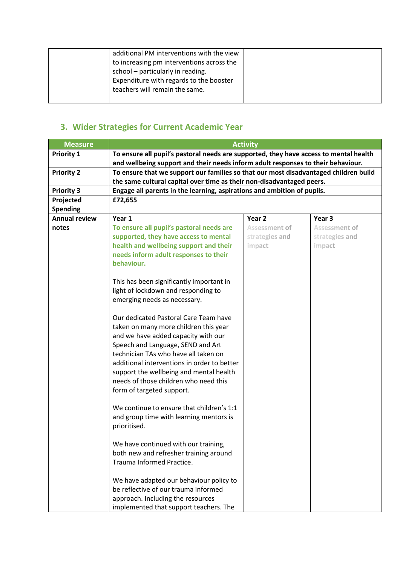| additional PM interventions with the view |  |
|-------------------------------------------|--|
| to increasing pm interventions across the |  |
| school - particularly in reading.         |  |
| Expenditure with regards to the booster   |  |
| teachers will remain the same.            |  |
|                                           |  |

# **3. Wider Strategies for Current Academic Year**

| <b>Measure</b>               | <b>Activity</b>                                                                       |                   |                |  |
|------------------------------|---------------------------------------------------------------------------------------|-------------------|----------------|--|
| <b>Priority 1</b>            | To ensure all pupil's pastoral needs are supported, they have access to mental health |                   |                |  |
|                              | and wellbeing support and their needs inform adult responses to their behaviour.      |                   |                |  |
| <b>Priority 2</b>            | To ensure that we support our families so that our most disadvantaged children build  |                   |                |  |
|                              | the same cultural capital over time as their non-disadvantaged peers.                 |                   |                |  |
| <b>Priority 3</b>            | Engage all parents in the learning, aspirations and ambition of pupils.<br>£72,655    |                   |                |  |
| Projected<br><b>Spending</b> |                                                                                       |                   |                |  |
| <b>Annual review</b>         | Year 1                                                                                | Year <sub>2</sub> | Year 3         |  |
| notes                        | To ensure all pupil's pastoral needs are                                              | Assessment of     | Assessment of  |  |
|                              | supported, they have access to mental                                                 | strategies and    | strategies and |  |
|                              | health and wellbeing support and their                                                | impact            | impact         |  |
|                              | needs inform adult responses to their                                                 |                   |                |  |
|                              | behaviour.                                                                            |                   |                |  |
|                              |                                                                                       |                   |                |  |
|                              | This has been significantly important in                                              |                   |                |  |
|                              | light of lockdown and responding to<br>emerging needs as necessary.                   |                   |                |  |
|                              |                                                                                       |                   |                |  |
|                              | Our dedicated Pastoral Care Team have                                                 |                   |                |  |
|                              | taken on many more children this year                                                 |                   |                |  |
|                              | and we have added capacity with our                                                   |                   |                |  |
|                              | Speech and Language, SEND and Art                                                     |                   |                |  |
|                              | technician TAs who have all taken on                                                  |                   |                |  |
|                              | additional interventions in order to better                                           |                   |                |  |
|                              | support the wellbeing and mental health                                               |                   |                |  |
|                              | needs of those children who need this                                                 |                   |                |  |
|                              | form of targeted support.                                                             |                   |                |  |
|                              | We continue to ensure that children's 1:1                                             |                   |                |  |
|                              | and group time with learning mentors is                                               |                   |                |  |
|                              | prioritised.                                                                          |                   |                |  |
|                              |                                                                                       |                   |                |  |
|                              | We have continued with our training,                                                  |                   |                |  |
|                              | both new and refresher training around                                                |                   |                |  |
|                              | Trauma Informed Practice.                                                             |                   |                |  |
|                              | We have adapted our behaviour policy to                                               |                   |                |  |
|                              | be reflective of our trauma informed                                                  |                   |                |  |
|                              | approach. Including the resources                                                     |                   |                |  |
|                              | implemented that support teachers. The                                                |                   |                |  |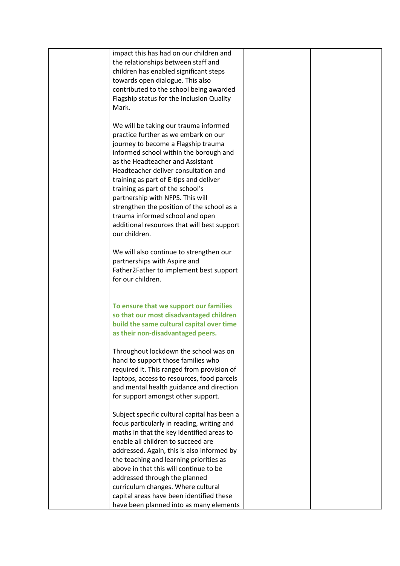| impact this has had on our children and      |  |
|----------------------------------------------|--|
| the relationships between staff and          |  |
| children has enabled significant steps       |  |
| towards open dialogue. This also             |  |
| contributed to the school being awarded      |  |
| Flagship status for the Inclusion Quality    |  |
| Mark.                                        |  |
|                                              |  |
| We will be taking our trauma informed        |  |
| practice further as we embark on our         |  |
| journey to become a Flagship trauma          |  |
| informed school within the borough and       |  |
| as the Headteacher and Assistant             |  |
| Headteacher deliver consultation and         |  |
| training as part of E-tips and deliver       |  |
| training as part of the school's             |  |
| partnership with NFPS. This will             |  |
| strengthen the position of the school as a   |  |
| trauma informed school and open              |  |
| additional resources that will best support  |  |
| our children.                                |  |
|                                              |  |
| We will also continue to strengthen our      |  |
| partnerships with Aspire and                 |  |
| Father2Father to implement best support      |  |
| for our children.                            |  |
|                                              |  |
| To ensure that we support our families       |  |
| so that our most disadvantaged children      |  |
| build the same cultural capital over time    |  |
| as their non-disadvantaged peers.            |  |
|                                              |  |
| Throughout lockdown the school was on        |  |
| hand to support those families who           |  |
| required it. This ranged from provision of   |  |
| laptops, access to resources, food parcels   |  |
| and mental health guidance and direction     |  |
| for support amongst other support.           |  |
|                                              |  |
| Subject specific cultural capital has been a |  |
| focus particularly in reading, writing and   |  |
| maths in that the key identified areas to    |  |
| enable all children to succeed are           |  |
| addressed. Again, this is also informed by   |  |
| the teaching and learning priorities as      |  |
| above in that this will continue to be       |  |
| addressed through the planned                |  |
| curriculum changes. Where cultural           |  |
| capital areas have been identified these     |  |
| have been planned into as many elements      |  |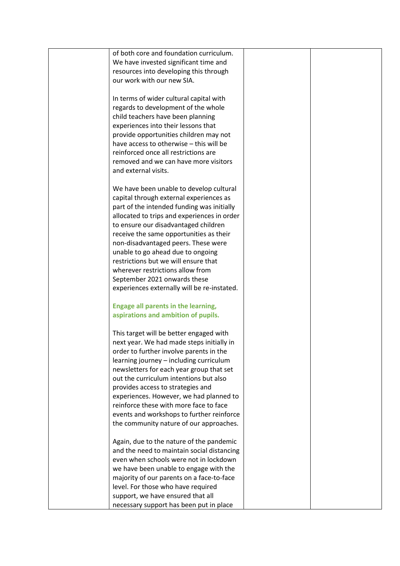| of both core and foundation curriculum.     |  |
|---------------------------------------------|--|
| We have invested significant time and       |  |
| resources into developing this through      |  |
| our work with our new SIA.                  |  |
|                                             |  |
| In terms of wider cultural capital with     |  |
| regards to development of the whole         |  |
|                                             |  |
| child teachers have been planning           |  |
| experiences into their lessons that         |  |
| provide opportunities children may not      |  |
| have access to otherwise - this will be     |  |
| reinforced once all restrictions are        |  |
| removed and we can have more visitors       |  |
| and external visits.                        |  |
|                                             |  |
| We have been unable to develop cultural     |  |
| capital through external experiences as     |  |
| part of the intended funding was initially  |  |
| allocated to trips and experiences in order |  |
| to ensure our disadvantaged children        |  |
| receive the same opportunities as their     |  |
| non-disadvantaged peers. These were         |  |
| unable to go ahead due to ongoing           |  |
| restrictions but we will ensure that        |  |
| wherever restrictions allow from            |  |
| September 2021 onwards these                |  |
| experiences externally will be re-instated. |  |
| <b>Engage all parents in the learning,</b>  |  |
| aspirations and ambition of pupils.         |  |
|                                             |  |
| This target will be better engaged with     |  |
| next year. We had made steps initially in   |  |
| order to further involve parents in the     |  |
| learning journey - including curriculum     |  |
| newsletters for each year group that set    |  |
| out the curriculum intentions but also      |  |
| provides access to strategies and           |  |
| experiences. However, we had planned to     |  |
| reinforce these with more face to face      |  |
| events and workshops to further reinforce   |  |
| the community nature of our approaches.     |  |
|                                             |  |
| Again, due to the nature of the pandemic    |  |
| and the need to maintain social distancing  |  |
| even when schools were not in lockdown      |  |
| we have been unable to engage with the      |  |
| majority of our parents on a face-to-face   |  |
| level. For those who have required          |  |
| support, we have ensured that all           |  |
| necessary support has been put in place     |  |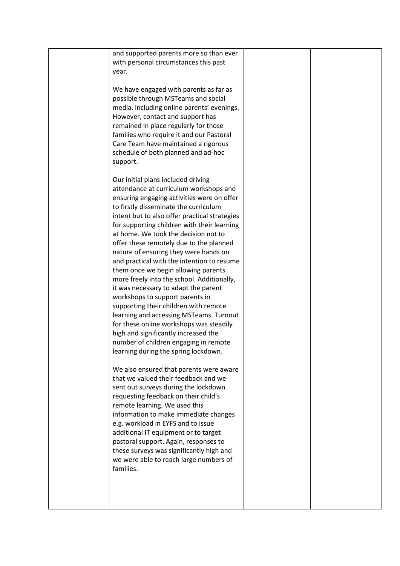| and supported parents more so than ever       |  |
|-----------------------------------------------|--|
|                                               |  |
| with personal circumstances this past         |  |
| year.                                         |  |
|                                               |  |
| We have engaged with parents as far as        |  |
| possible through MSTeams and social           |  |
| media, including online parents' evenings.    |  |
| However, contact and support has              |  |
|                                               |  |
| remained in place regularly for those         |  |
| families who require it and our Pastoral      |  |
| Care Team have maintained a rigorous          |  |
| schedule of both planned and ad-hoc           |  |
| support.                                      |  |
|                                               |  |
| Our initial plans included driving            |  |
| attendance at curriculum workshops and        |  |
| ensuring engaging activities were on offer    |  |
|                                               |  |
| to firstly disseminate the curriculum         |  |
| intent but to also offer practical strategies |  |
| for supporting children with their learning   |  |
| at home. We took the decision not to          |  |
| offer these remotely due to the planned       |  |
| nature of ensuring they were hands on         |  |
| and practical with the intention to resume    |  |
| them once we begin allowing parents           |  |
| more freely into the school. Additionally,    |  |
| it was necessary to adapt the parent          |  |
|                                               |  |
| workshops to support parents in               |  |
| supporting their children with remote         |  |
| learning and accessing MSTeams. Turnout       |  |
| for these online workshops was steadily       |  |
| high and significantly increased the          |  |
| number of children engaging in remote         |  |
| learning during the spring lockdown.          |  |
|                                               |  |
| We also ensured that parents were aware       |  |
| that we valued their feedback and we          |  |
| sent out surveys during the lockdown          |  |
|                                               |  |
| requesting feedback on their child's          |  |
| remote learning. We used this                 |  |
| information to make immediate changes         |  |
| e.g. workload in EYFS and to issue            |  |
| additional IT equipment or to target          |  |
| pastoral support. Again, responses to         |  |
| these surveys was significantly high and      |  |
| we were able to reach large numbers of        |  |
| families.                                     |  |
|                                               |  |
|                                               |  |
|                                               |  |
|                                               |  |
|                                               |  |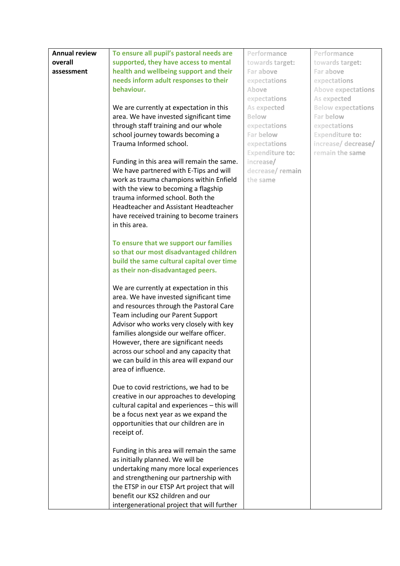| <b>Annual review</b> | To ensure all pupil's pastoral needs are                   | Performance            | Performance               |
|----------------------|------------------------------------------------------------|------------------------|---------------------------|
| overall              | supported, they have access to mental                      | towards target:        | towards target:           |
| assessment           | health and wellbeing support and their                     | Far above              | Far above                 |
|                      | needs inform adult responses to their                      | expectations           | expectations              |
|                      | behaviour.                                                 | Above                  | <b>Above expectations</b> |
|                      |                                                            | expectations           | As expected               |
|                      | We are currently at expectation in this                    | As expected            | <b>Below expectations</b> |
|                      | area. We have invested significant time                    | Below                  | Far below                 |
|                      | through staff training and our whole                       | expectations           | expectations              |
|                      | school journey towards becoming a                          | Far below              | <b>Expenditure to:</b>    |
|                      | Trauma Informed school.                                    | expectations           | increase/ decrease/       |
|                      |                                                            | <b>Expenditure to:</b> | remain the same           |
|                      | Funding in this area will remain the same.                 | increase/              |                           |
|                      | We have partnered with E-Tips and will                     | decrease/remain        |                           |
|                      | work as trauma champions within Enfield                    | the same               |                           |
|                      | with the view to becoming a flagship                       |                        |                           |
|                      | trauma informed school. Both the                           |                        |                           |
|                      | Headteacher and Assistant Headteacher                      |                        |                           |
|                      |                                                            |                        |                           |
|                      | have received training to become trainers<br>in this area. |                        |                           |
|                      |                                                            |                        |                           |
|                      |                                                            |                        |                           |
|                      | To ensure that we support our families                     |                        |                           |
|                      | so that our most disadvantaged children                    |                        |                           |
|                      | build the same cultural capital over time                  |                        |                           |
|                      | as their non-disadvantaged peers.                          |                        |                           |
|                      |                                                            |                        |                           |
|                      | We are currently at expectation in this                    |                        |                           |
|                      | area. We have invested significant time                    |                        |                           |
|                      | and resources through the Pastoral Care                    |                        |                           |
|                      | Team including our Parent Support                          |                        |                           |
|                      | Advisor who works very closely with key                    |                        |                           |
|                      | families alongside our welfare officer.                    |                        |                           |
|                      | However, there are significant needs                       |                        |                           |
|                      | across our school and any capacity that                    |                        |                           |
|                      | we can build in this area will expand our                  |                        |                           |
|                      | area of influence.                                         |                        |                           |
|                      |                                                            |                        |                           |
|                      | Due to covid restrictions, we had to be                    |                        |                           |
|                      | creative in our approaches to developing                   |                        |                           |
|                      | cultural capital and experiences - this will               |                        |                           |
|                      | be a focus next year as we expand the                      |                        |                           |
|                      | opportunities that our children are in                     |                        |                           |
|                      | receipt of.                                                |                        |                           |
|                      |                                                            |                        |                           |
|                      | Funding in this area will remain the same                  |                        |                           |
|                      | as initially planned. We will be                           |                        |                           |
|                      | undertaking many more local experiences                    |                        |                           |
|                      | and strengthening our partnership with                     |                        |                           |
|                      | the ETSP in our ETSP Art project that will                 |                        |                           |
|                      | benefit our KS2 children and our                           |                        |                           |
|                      | intergenerational project that will further                |                        |                           |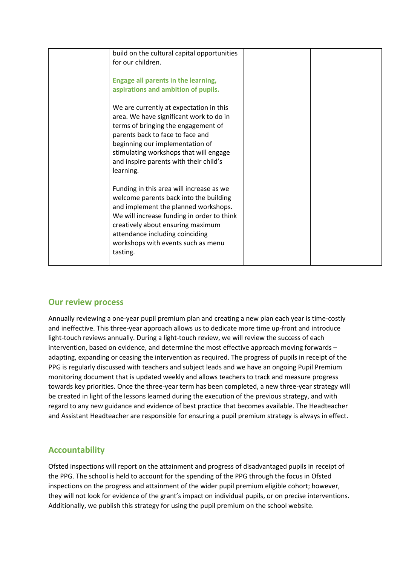| build on the cultural capital opportunities<br>for our children.                                                                                                                                                                                                                                   |  |
|----------------------------------------------------------------------------------------------------------------------------------------------------------------------------------------------------------------------------------------------------------------------------------------------------|--|
| Engage all parents in the learning,<br>aspirations and ambition of pupils.                                                                                                                                                                                                                         |  |
| We are currently at expectation in this<br>area. We have significant work to do in<br>terms of bringing the engagement of<br>parents back to face to face and<br>beginning our implementation of<br>stimulating workshops that will engage<br>and inspire parents with their child's<br>learning.  |  |
| Funding in this area will increase as we<br>welcome parents back into the building<br>and implement the planned workshops.<br>We will increase funding in order to think<br>creatively about ensuring maximum<br>attendance including coinciding<br>workshops with events such as menu<br>tasting. |  |

### **Our review process**

Annually reviewing a one-year pupil premium plan and creating a new plan each year is time-costly and ineffective. This three-year approach allows us to dedicate more time up-front and introduce light-touch reviews annually. During a light-touch review, we will review the success of each intervention, based on evidence, and determine the most effective approach moving forwards – adapting, expanding or ceasing the intervention as required. The progress of pupils in receipt of the PPG is regularly discussed with teachers and subject leads and we have an ongoing Pupil Premium monitoring document that is updated weekly and allows teachers to track and measure progress towards key priorities. Once the three-year term has been completed, a new three-year strategy will be created in light of the lessons learned during the execution of the previous strategy, and with regard to any new guidance and evidence of best practice that becomes available. The Headteacher and Assistant Headteacher are responsible for ensuring a pupil premium strategy is always in effect.

### **Accountability**

Ofsted inspections will report on the attainment and progress of disadvantaged pupils in receipt of the PPG. The school is held to account for the spending of the PPG through the focus in Ofsted inspections on the progress and attainment of the wider pupil premium eligible cohort; however, they will not look for evidence of the grant's impact on individual pupils, or on precise interventions. Additionally, we publish this strategy for using the pupil premium on the school website.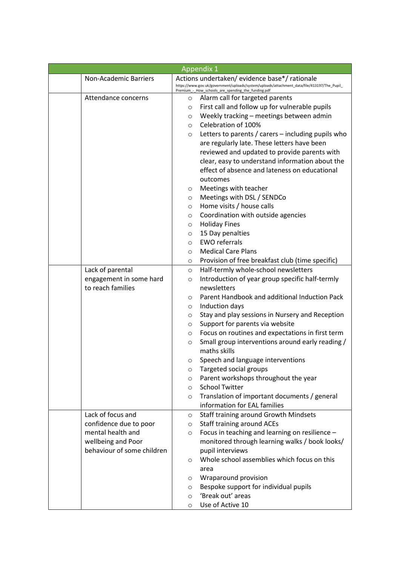| <b>Appendix 1</b>            |                            |         |                                                                                                                                                   |  |
|------------------------------|----------------------------|---------|---------------------------------------------------------------------------------------------------------------------------------------------------|--|
| <b>Non-Academic Barriers</b> |                            |         | Actions undertaken/evidence base*/rationale                                                                                                       |  |
|                              |                            |         | https://www.gov.uk/government/uploads/system/uploads/attachment_data/file/413197/The_Pupil_<br>Premium - How_schools_are_spending_the_funding.pdf |  |
| Attendance concerns          |                            | O       | Alarm call for targeted parents                                                                                                                   |  |
|                              |                            | $\circ$ | First call and follow up for vulnerable pupils                                                                                                    |  |
|                              |                            | $\circ$ | Weekly tracking - meetings between admin                                                                                                          |  |
|                              |                            | $\circ$ | Celebration of 100%                                                                                                                               |  |
|                              |                            | $\circ$ | Letters to parents / carers – including pupils who                                                                                                |  |
|                              |                            |         | are regularly late. These letters have been                                                                                                       |  |
|                              |                            |         | reviewed and updated to provide parents with                                                                                                      |  |
|                              |                            |         | clear, easy to understand information about the                                                                                                   |  |
|                              |                            |         | effect of absence and lateness on educational                                                                                                     |  |
|                              |                            |         | outcomes                                                                                                                                          |  |
|                              |                            | $\circ$ | Meetings with teacher                                                                                                                             |  |
|                              |                            | $\circ$ | Meetings with DSL / SENDCo                                                                                                                        |  |
|                              |                            | O       | Home visits / house calls                                                                                                                         |  |
|                              |                            | O       | Coordination with outside agencies                                                                                                                |  |
|                              |                            | O       | <b>Holiday Fines</b>                                                                                                                              |  |
|                              |                            | $\circ$ | 15 Day penalties                                                                                                                                  |  |
|                              |                            | $\circ$ | <b>EWO referrals</b>                                                                                                                              |  |
|                              |                            | O       | <b>Medical Care Plans</b>                                                                                                                         |  |
|                              |                            | O       | Provision of free breakfast club (time specific)                                                                                                  |  |
| Lack of parental             |                            | $\circ$ | Half-termly whole-school newsletters                                                                                                              |  |
| engagement in some hard      |                            | $\circ$ | Introduction of year group specific half-termly                                                                                                   |  |
| to reach families            |                            |         | newsletters                                                                                                                                       |  |
|                              |                            | $\circ$ | Parent Handbook and additional Induction Pack                                                                                                     |  |
|                              |                            | O       | Induction days                                                                                                                                    |  |
|                              |                            | O       | Stay and play sessions in Nursery and Reception                                                                                                   |  |
|                              |                            | O       | Support for parents via website                                                                                                                   |  |
|                              |                            | O       | Focus on routines and expectations in first term                                                                                                  |  |
|                              |                            | $\circ$ | Small group interventions around early reading /                                                                                                  |  |
|                              |                            |         | maths skills                                                                                                                                      |  |
|                              |                            | O       | Speech and language interventions                                                                                                                 |  |
|                              |                            | O       | Targeted social groups                                                                                                                            |  |
|                              |                            | $\circ$ | Parent workshops throughout the year                                                                                                              |  |
|                              |                            | $\circ$ | <b>School Twitter</b>                                                                                                                             |  |
|                              |                            | $\circ$ | Translation of important documents / general                                                                                                      |  |
|                              |                            |         | information for EAL families                                                                                                                      |  |
| Lack of focus and            |                            | $\circ$ | Staff training around Growth Mindsets                                                                                                             |  |
| confidence due to poor       |                            | $\circ$ | <b>Staff training around ACEs</b>                                                                                                                 |  |
| mental health and            |                            | $\circ$ | Focus in teaching and learning on resilience -                                                                                                    |  |
| wellbeing and Poor           |                            |         | monitored through learning walks / book looks/                                                                                                    |  |
|                              | behaviour of some children |         | pupil interviews                                                                                                                                  |  |
|                              |                            | $\circ$ | Whole school assemblies which focus on this                                                                                                       |  |
|                              |                            |         | area                                                                                                                                              |  |
|                              |                            | $\circ$ | Wraparound provision                                                                                                                              |  |
|                              |                            | $\circ$ | Bespoke support for individual pupils                                                                                                             |  |
|                              |                            | $\circ$ | 'Break out' areas                                                                                                                                 |  |
|                              |                            | $\circ$ | Use of Active 10                                                                                                                                  |  |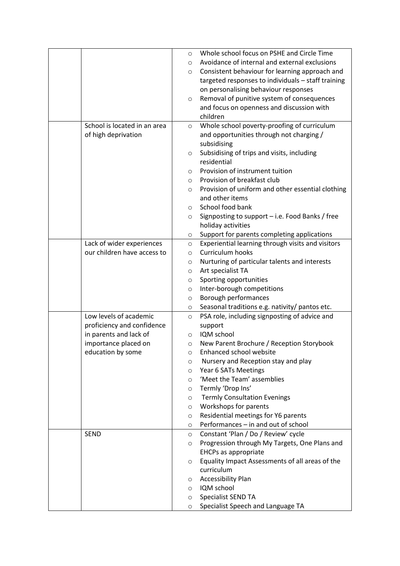|                              | $\circ$ | Whole school focus on PSHE and Circle Time         |
|------------------------------|---------|----------------------------------------------------|
|                              | $\circ$ | Avoidance of internal and external exclusions      |
|                              | O       | Consistent behaviour for learning approach and     |
|                              |         | targeted responses to individuals - staff training |
|                              |         | on personalising behaviour responses               |
|                              | $\circ$ | Removal of punitive system of consequences         |
|                              |         | and focus on openness and discussion with          |
|                              |         | children                                           |
| School is located in an area | $\circ$ | Whole school poverty-proofing of curriculum        |
| of high deprivation          |         | and opportunities through not charging /           |
|                              |         | subsidising                                        |
|                              | $\circ$ | Subsidising of trips and visits, including         |
|                              |         | residential                                        |
|                              | $\circ$ | Provision of instrument tuition                    |
|                              | $\circ$ | Provision of breakfast club                        |
|                              | $\circ$ | Provision of uniform and other essential clothing  |
|                              |         | and other items                                    |
|                              | $\circ$ | School food bank                                   |
|                              | O       | Signposting to support - i.e. Food Banks / free    |
|                              |         | holiday activities                                 |
|                              | O       | Support for parents completing applications        |
| Lack of wider experiences    | $\circ$ | Experiential learning through visits and visitors  |
| our children have access to  | $\circ$ | Curriculum hooks                                   |
|                              | O       | Nurturing of particular talents and interests      |
|                              | $\circ$ | Art specialist TA                                  |
|                              | $\circ$ | Sporting opportunities                             |
|                              | O       | Inter-borough competitions                         |
|                              | O       | Borough performances                               |
|                              | O       | Seasonal traditions e.g. nativity/ pantos etc.     |
| Low levels of academic       | $\circ$ | PSA role, including signposting of advice and      |
| proficiency and confidence   |         | support                                            |
| in parents and lack of       | $\circ$ | IQM school                                         |
| importance placed on         | $\circ$ | New Parent Brochure / Reception Storybook          |
| education by some            | O       | <b>Enhanced school website</b>                     |
|                              | O       | Nursery and Reception stay and play                |
|                              | O       | Year 6 SATs Meetings                               |
|                              | $\circ$ | 'Meet the Team' assemblies                         |
|                              | $\circ$ | Termly 'Drop Ins'                                  |
|                              | O       | <b>Termly Consultation Evenings</b>                |
|                              | $\circ$ | Workshops for parents                              |
|                              | O       | Residential meetings for Y6 parents                |
|                              | $\circ$ | Performances - in and out of school                |
| <b>SEND</b>                  | $\circ$ | Constant 'Plan / Do / Review' cycle                |
|                              | O       | Progression through My Targets, One Plans and      |
|                              |         | <b>EHCPs as appropriate</b>                        |
|                              | O       | Equality Impact Assessments of all areas of the    |
|                              |         | curriculum                                         |
|                              | O       | <b>Accessibility Plan</b>                          |
|                              | $\circ$ | IQM school                                         |
|                              | $\circ$ | Specialist SEND TA                                 |
|                              | $\circ$ | Specialist Speech and Language TA                  |